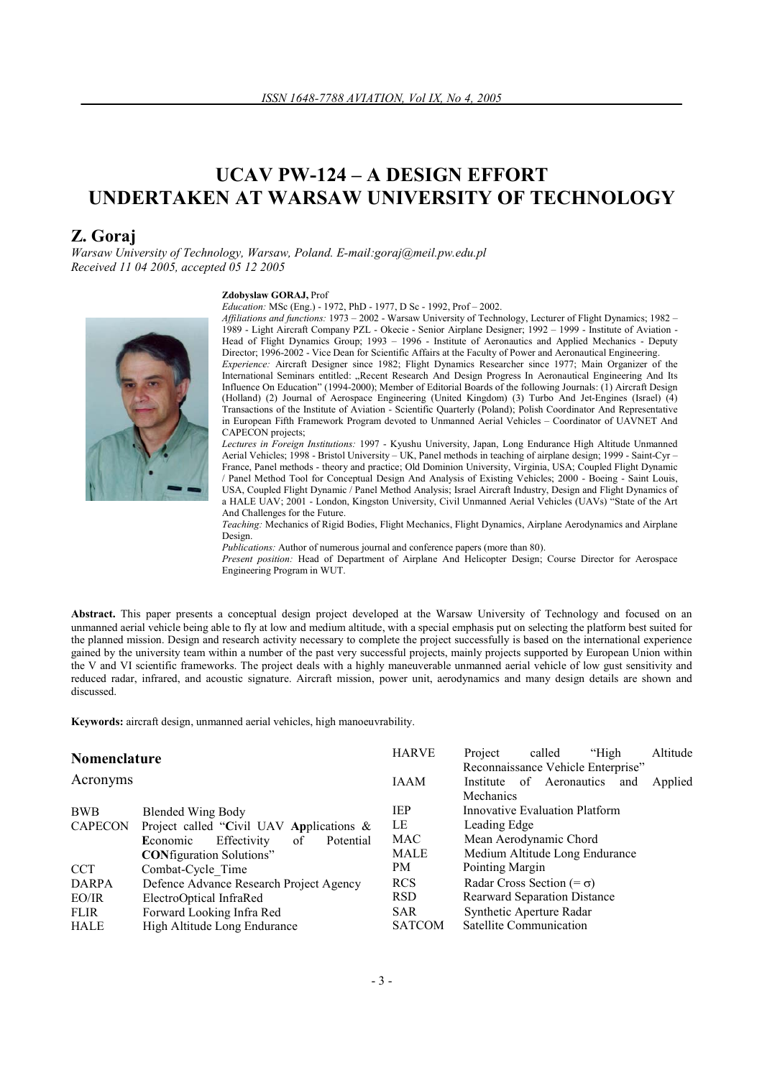# **UCAV PW-124 – A DESIGN EFFORT UNDERTAKEN AT WARSAW UNIVERSITY OF TECHNOLOGY**

# **Z. Goraj**

*Warsaw University of Technology, Warsaw, Poland. E-mail:goraj@meil.pw.edu.pl Received 11 04 2005, accepted 05 12 2005* 

#### **Zdobyslaw GORAJ,** Prof

*Education:* MSc (Eng.) - 1972, PhD - 1977, D Sc - 1992, Prof – 2002.



*Affiliations and functions:* 1973 – 2002 - Warsaw University of Technology, Lecturer of Flight Dynamics; 1982 – 1989 - Light Aircraft Company PZL - Okecie - Senior Airplane Designer; 1992 – 1999 - Institute of Aviation - Head of Flight Dynamics Group; 1993 – 1996 - Institute of Aeronautics and Applied Mechanics - Deputy Director; 1996-2002 - Vice Dean for Scientific Affairs at the Faculty of Power and Aeronautical Engineering. *Experience:* Aircraft Designer since 1982; Flight Dynamics Researcher since 1977; Main Organizer of the International Seminars entitled: "Recent Research And Design Progress In Aeronautical Engineering And Its Influence On Education" (1994-2000); Member of Editorial Boards of the following Journals: (1) Aircraft Design (Holland) (2) Journal of Aerospace Engineering (United Kingdom) (3) Turbo And Jet-Engines (Israel) (4) Transactions of the Institute of Aviation - Scientific Quarterly (Poland); Polish Coordinator And Representative in European Fifth Framework Program devoted to Unmanned Aerial Vehicles – Coordinator of UAVNET And

CAPECON projects; *Lectures in Foreign Institutions:* 1997 - Kyushu University, Japan, Long Endurance High Altitude Unmanned Aerial Vehicles; 1998 - Bristol University – UK, Panel methods in teaching of airplane design; 1999 - Saint-Cyr – France, Panel methods - theory and practice; Old Dominion University, Virginia, USA; Coupled Flight Dynamic / Panel Method Tool for Conceptual Design And Analysis of Existing Vehicles; 2000 - Boeing - Saint Louis, USA, Coupled Flight Dynamic / Panel Method Analysis; Israel Aircraft Industry, Design and Flight Dynamics of a HALE UAV; 2001 - London, Kingston University, Civil Unmanned Aerial Vehicles (UAVs) "State of the Art And Challenges for the Future.

*Teaching:* Mechanics of Rigid Bodies, Flight Mechanics, Flight Dynamics, Airplane Aerodynamics and Airplane Design.

*Publications:* Author of numerous journal and conference papers (more than 80).

*Present position:* Head of Department of Airplane And Helicopter Design; Course Director for Aerospace Engineering Program in WUT.

**Abstract.** This paper presents a conceptual design project developed at the Warsaw University of Technology and focused on an unmanned aerial vehicle being able to fly at low and medium altitude, with a special emphasis put on selecting the platform best suited for the planned mission. Design and research activity necessary to complete the project successfully is based on the international experience gained by the university team within a number of the past very successful projects, mainly projects supported by European Union within the V and VI scientific frameworks. The project deals with a highly maneuverable unmanned aerial vehicle of low gust sensitivity and reduced radar, infrared, and acoustic signature. Aircraft mission, power unit, aerodynamics and many design details are shown and discussed.

**Keywords:** aircraft design, unmanned aerial vehicles, high manoeuvrability.

| Nomenclature   |                                             | <b>HARVE</b>  | Project                         | called         | "High                              | Altitude |
|----------------|---------------------------------------------|---------------|---------------------------------|----------------|------------------------------------|----------|
|                |                                             |               |                                 |                | Reconnaissance Vehicle Enterprise" |          |
| Acronyms       |                                             | <b>IAAM</b>   | Institute                       | of Aeronautics | and                                | Applied  |
|                |                                             |               | Mechanics                       |                |                                    |          |
| <b>BWB</b>     | <b>Blended Wing Body</b>                    | <b>IEP</b>    | Innovative Evaluation Platform  |                |                                    |          |
| <b>CAPECON</b> | Project called "Civil UAV Applications $\&$ | LE            | Leading Edge                    |                |                                    |          |
|                | Effectivity<br>Economic<br>of<br>Potential  | MAC           | Mean Aerodynamic Chord          |                |                                    |          |
|                | <b>CONfiguration Solutions"</b>             | MALE          |                                 |                | Medium Altitude Long Endurance     |          |
| <b>CCT</b>     | Combat-Cycle Time                           | PM            | Pointing Margin                 |                |                                    |          |
| <b>DARPA</b>   | Defence Advance Research Project Agency     | <b>RCS</b>    | Radar Cross Section $(=\sigma)$ |                |                                    |          |
| EO/IR          | ElectroOptical InfraRed                     | RSD.          | Rearward Separation Distance    |                |                                    |          |
| <b>FLIR</b>    | Forward Looking Infra Red                   | <b>SAR</b>    | Synthetic Aperture Radar        |                |                                    |          |
| <b>HALE</b>    | High Altitude Long Endurance                | <b>SATCOM</b> | Satellite Communication         |                |                                    |          |
|                |                                             |               |                                 |                |                                    |          |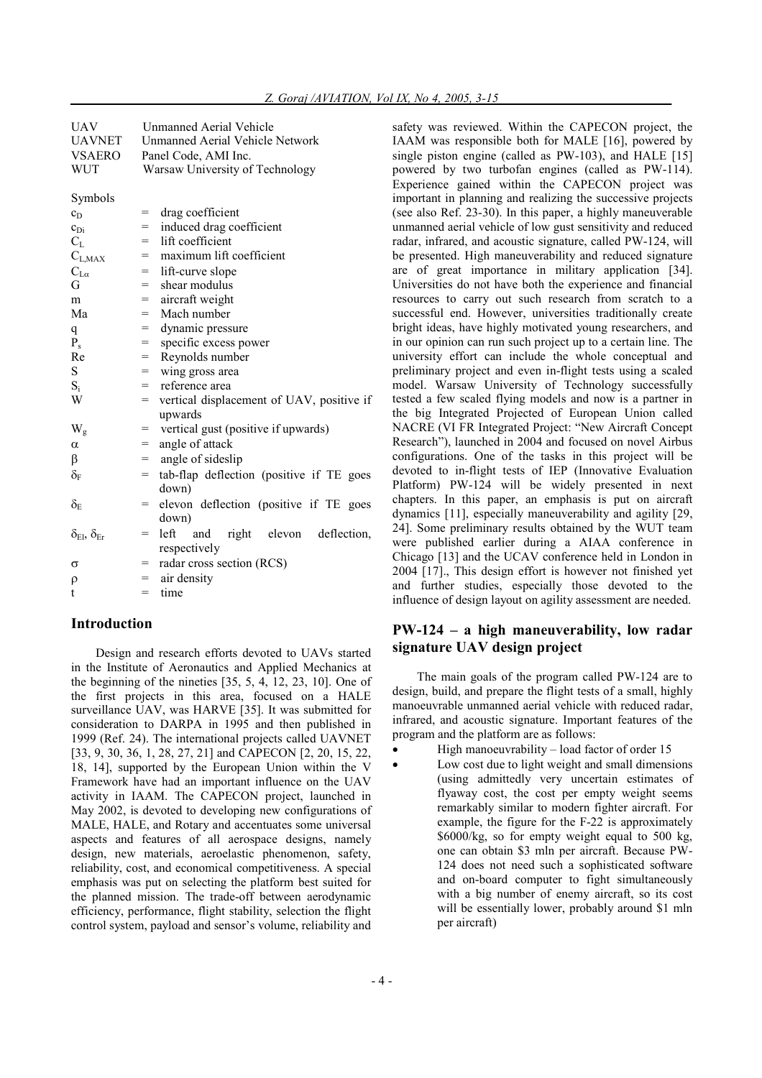| <b>UAV</b>                         | <b>Unmanned Aerial Vehicle</b>                     |  |  |  |
|------------------------------------|----------------------------------------------------|--|--|--|
| <b>UAVNET</b>                      | <b>Unmanned Aerial Vehicle Network</b>             |  |  |  |
| <b>VSAERO</b>                      | Panel Code, AMI Inc.                               |  |  |  |
| <b>WUT</b>                         | Warsaw University of Technology                    |  |  |  |
|                                    |                                                    |  |  |  |
| Symbols                            |                                                    |  |  |  |
| $c_D$                              | drag coefficient<br>=                              |  |  |  |
| $c_{\rm Di}$                       | induced drag coefficient<br>=                      |  |  |  |
| $C_{L}$                            | lift coefficient<br>$=$                            |  |  |  |
| $C_{\rm L,MAX}$                    | maximum lift coefficient<br>=                      |  |  |  |
| $C_{L\alpha}$                      | lift-curve slope<br>$=$                            |  |  |  |
| G                                  | shear modulus<br>=                                 |  |  |  |
| m                                  | aircraft weight<br>=                               |  |  |  |
| Ma                                 | Mach number<br>$=$                                 |  |  |  |
| q                                  | dynamic pressure<br>$=$                            |  |  |  |
| $P_s$                              | specific excess power<br>=                         |  |  |  |
| Re                                 | Reynolds number<br>$=$                             |  |  |  |
| S                                  | wing gross area<br>$=$                             |  |  |  |
| $S_i$                              | reference area<br>$=$                              |  |  |  |
| W                                  | vertical displacement of UAV, positive if<br>=     |  |  |  |
|                                    | upwards                                            |  |  |  |
| W <sub>g</sub>                     | vertical gust (positive if upwards)<br>=           |  |  |  |
| α                                  | angle of attack<br>=                               |  |  |  |
| β                                  | angle of sideslip<br>$=$                           |  |  |  |
| $\delta_{\rm F}$                   | tab-flap deflection (positive if TE goes<br>=      |  |  |  |
|                                    | down)                                              |  |  |  |
| $\delta_{\rm E}$                   | elevon deflection (positive if TE goes<br>=        |  |  |  |
|                                    | down)                                              |  |  |  |
| $\delta_{\rm El}, \delta_{\rm Er}$ | left<br>elevon<br>deflection,<br>and<br>right<br>= |  |  |  |
|                                    | respectively                                       |  |  |  |
| σ                                  | radar cross section (RCS)<br>$=$                   |  |  |  |
| ρ                                  | air density<br>$=$                                 |  |  |  |
| t                                  | time<br>$=$                                        |  |  |  |
|                                    |                                                    |  |  |  |

# **Introduction**

Design and research efforts devoted to UAVs started in the Institute of Aeronautics and Applied Mechanics at the beginning of the nineties [35, 5, 4, 12, 23, 10]. One of the first projects in this area, focused on a HALE surveillance UAV, was HARVE [35]. It was submitted for consideration to DARPA in 1995 and then published in 1999 (Ref. 24). The international projects called UAVNET [33, 9, 30, 36, 1, 28, 27, 21] and CAPECON [2, 20, 15, 22, 18, 14], supported by the European Union within the V Framework have had an important influence on the UAV activity in IAAM. The CAPECON project, launched in May 2002, is devoted to developing new configurations of MALE, HALE, and Rotary and accentuates some universal aspects and features of all aerospace designs, namely design, new materials, aeroelastic phenomenon, safety, reliability, cost, and economical competitiveness. A special emphasis was put on selecting the platform best suited for the planned mission. The trade-off between aerodynamic efficiency, performance, flight stability, selection the flight control system, payload and sensor's volume, reliability and safety was reviewed. Within the CAPECON project, the IAAM was responsible both for MALE [16], powered by single piston engine (called as PW-103), and HALE [15] powered by two turbofan engines (called as PW-114). Experience gained within the CAPECON project was important in planning and realizing the successive projects (see also Ref. 23-30). In this paper, a highly maneuverable unmanned aerial vehicle of low gust sensitivity and reduced radar, infrared, and acoustic signature, called PW-124, will be presented. High maneuverability and reduced signature are of great importance in military application [34]. Universities do not have both the experience and financial resources to carry out such research from scratch to a successful end. However, universities traditionally create bright ideas, have highly motivated young researchers, and in our opinion can run such project up to a certain line. The university effort can include the whole conceptual and preliminary project and even in-flight tests using a scaled model. Warsaw University of Technology successfully tested a few scaled flying models and now is a partner in the big Integrated Projected of European Union called NACRE (VI FR Integrated Project: "New Aircraft Concept Research"), launched in 2004 and focused on novel Airbus configurations. One of the tasks in this project will be devoted to in-flight tests of IEP (Innovative Evaluation Platform) PW-124 will be widely presented in next chapters. In this paper, an emphasis is put on aircraft dynamics [11], especially maneuverability and agility [29, 24]. Some preliminary results obtained by the WUT team were published earlier during a AIAA conference in Chicago [13] and the UCAV conference held in London in 2004 [17]., This design effort is however not finished yet and further studies, especially those devoted to the influence of design layout on agility assessment are needed.

# **PW-124 – a high maneuverability, low radar signature UAV design project**

The main goals of the program called PW-124 are to design, build, and prepare the flight tests of a small, highly manoeuvrable unmanned aerial vehicle with reduced radar, infrared, and acoustic signature. Important features of the program and the platform are as follows:

High manoeuvrability – load factor of order  $15$ Low cost due to light weight and small dimensions (using admittedly very uncertain estimates of flyaway cost, the cost per empty weight seems remarkably similar to modern fighter aircraft. For example, the figure for the F-22 is approximately \$6000/kg, so for empty weight equal to 500 kg, one can obtain \$3 mln per aircraft. Because PW-124 does not need such a sophisticated software and on-board computer to fight simultaneously with a big number of enemy aircraft, so its cost will be essentially lower, probably around \$1 mln per aircraft)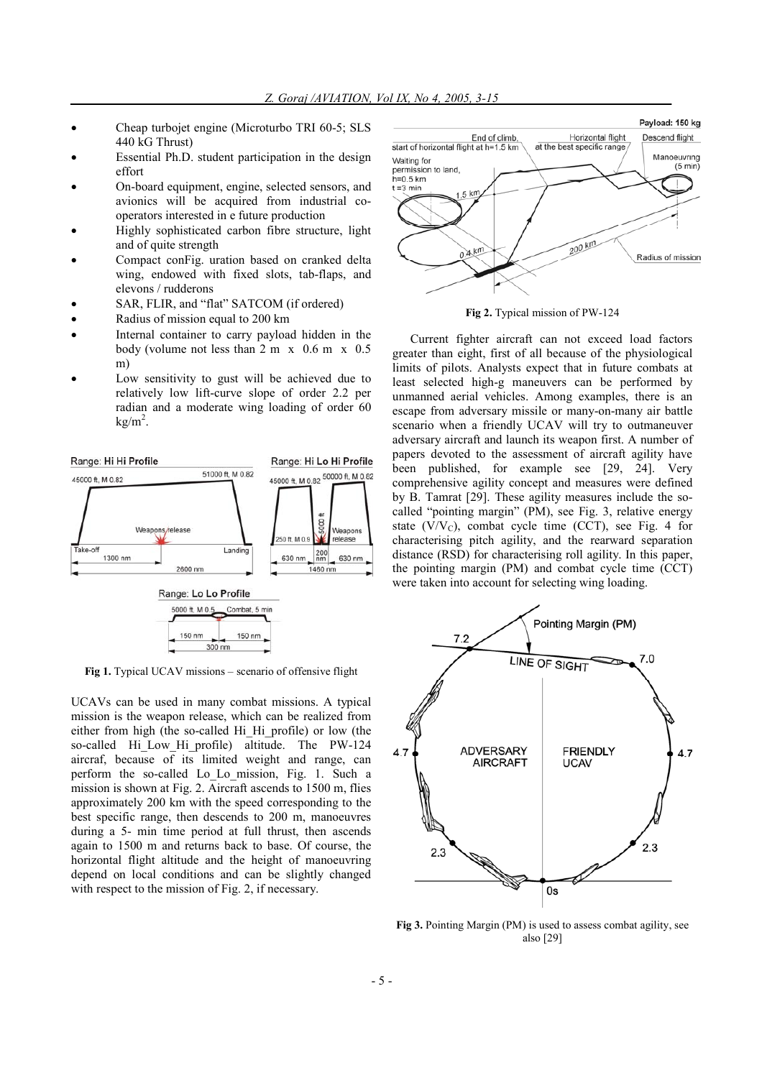- Cheap turbojet engine (Microturbo TRI 60-5; SLS 440 kG Thrust)
- Essential Ph.D. student participation in the design effort
- On-board equipment, engine, selected sensors, and avionics will be acquired from industrial cooperators interested in e future production
- Highly sophisticated carbon fibre structure, light and of quite strength
- Compact conFig. uration based on cranked delta wing, endowed with fixed slots, tab-flaps, and elevons / rudderons
- SAR, FLIR, and "flat" SATCOM (if ordered)
- Radius of mission equal to 200 km
- Internal container to carry payload hidden in the body (volume not less than 2 m x 0.6 m x 0.5 m)
- Low sensitivity to gust will be achieved due to relatively low lift-curve slope of order 2.2 per radian and a moderate wing loading of order 60  $kg/m<sup>2</sup>$ .



**Fig 1.** Typical UCAV missions – scenario of offensive flight

UCAVs can be used in many combat missions. A typical mission is the weapon release, which can be realized from either from high (the so-called Hi\_Hi\_profile) or low (the so-called Hi Low Hi profile) altitude. The PW-124 aircraf, because of its limited weight and range, can perform the so-called Lo\_Lo\_mission, Fig. 1. Such a mission is shown at Fig. 2. Aircraft ascends to 1500 m, flies approximately 200 km with the speed corresponding to the best specific range, then descends to 200 m, manoeuvres during a 5- min time period at full thrust, then ascends again to 1500 m and returns back to base. Of course, the horizontal flight altitude and the height of manoeuvring depend on local conditions and can be slightly changed with respect to the mission of Fig. 2, if necessary.



**Fig 2.** Typical mission of PW-124

Current fighter aircraft can not exceed load factors greater than eight, first of all because of the physiological limits of pilots. Analysts expect that in future combats at least selected high-g maneuvers can be performed by unmanned aerial vehicles. Among examples, there is an escape from adversary missile or many-on-many air battle scenario when a friendly UCAV will try to outmaneuver adversary aircraft and launch its weapon first. A number of papers devoted to the assessment of aircraft agility have been published, for example see [29, 24]. Very comprehensive agility concept and measures were defined by B. Tamrat [29]. These agility measures include the socalled "pointing margin" (PM), see Fig. 3, relative energy state  $(V/V_C)$ , combat cycle time (CCT), see Fig. 4 for characterising pitch agility, and the rearward separation distance (RSD) for characterising roll agility. In this paper, the pointing margin (PM) and combat cycle time (CCT) were taken into account for selecting wing loading.



**Fig 3.** Pointing Margin (PM) is used to assess combat agility, see also [29]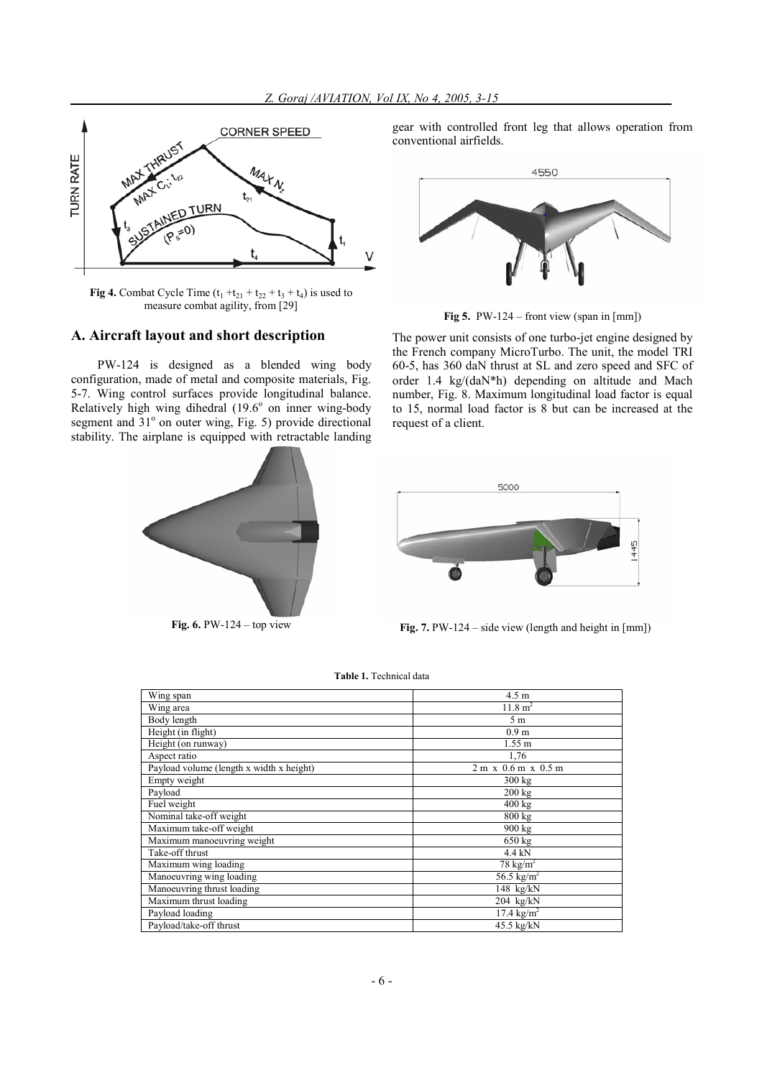

**Fig 4.** Combat Cycle Time  $(t_1 + t_{21} + t_{22} + t_3 + t_4)$  is used to measure combat agility, from [29]

# **A. Aircraft layout and short description**

PW-124 is designed as a blended wing body configuration, made of metal and composite materials, Fig. 5-7. Wing control surfaces provide longitudinal balance. Relatively high wing dihedral  $(19.6^{\circ}$  on inner wing-body segment and 31<sup>°</sup> on outer wing, Fig. 5) provide directional stability. The airplane is equipped with retractable landing



gear with controlled front leg that allows operation from conventional airfields.



**Fig 5.**PW-124 – front view (span in [mm])

The power unit consists of one turbo-jet engine designed by the French company MicroTurbo. The unit, the model TRI 60-5, has 360 daN thrust at SL and zero speed and SFC of order 1.4 kg/(daN\*h) depending on altitude and Mach number, Fig. 8. Maximum longitudinal load factor is equal to 15, normal load factor is 8 but can be increased at the request of a client.



**Fig.** 6. PW-124 – top view **Fig.** 7. PW-124 – side view (length and height in [mm])

|  | <b>Table 1.</b> Technical data |  |
|--|--------------------------------|--|
|  |                                |  |

| Wing span                                | $4.5 \text{ m}$                 |
|------------------------------------------|---------------------------------|
| Wing area                                | $11.8 \text{ m}^2$              |
| Body length                              | 5 <sub>m</sub>                  |
| Height (in flight)                       | 0.9 <sub>m</sub>                |
| Height (on runway)                       | 1.55 m                          |
| Aspect ratio                             | 1,76                            |
| Payload volume (length x width x height) | $2 m \times 0.6 m \times 0.5 m$ |
| Empty weight                             | $300 \text{ kg}$                |
| Payload                                  | $200 \text{ kg}$                |
| Fuel weight                              | $400 \text{ kg}$                |
| Nominal take-off weight                  | $800 \text{ kg}$                |
| Maximum take-off weight                  | 900 kg                          |
| Maximum manoeuvring weight               | $650 \text{ kg}$                |
| Take-off thrust                          | $4.4$ kN                        |
| Maximum wing loading                     | $78 \text{ kg/m}^2$             |
| Manoeuvring wing loading                 | 56.5 $\text{kg/m}^2$            |
| Manoeuvring thrust loading               | $148$ kg/kN                     |
| Maximum thrust loading                   | $204$ kg/kN                     |
| Payload loading                          | $17.4 \text{ kg/m}^2$           |
| Payload/take-off thrust                  | 45.5 kg/kN                      |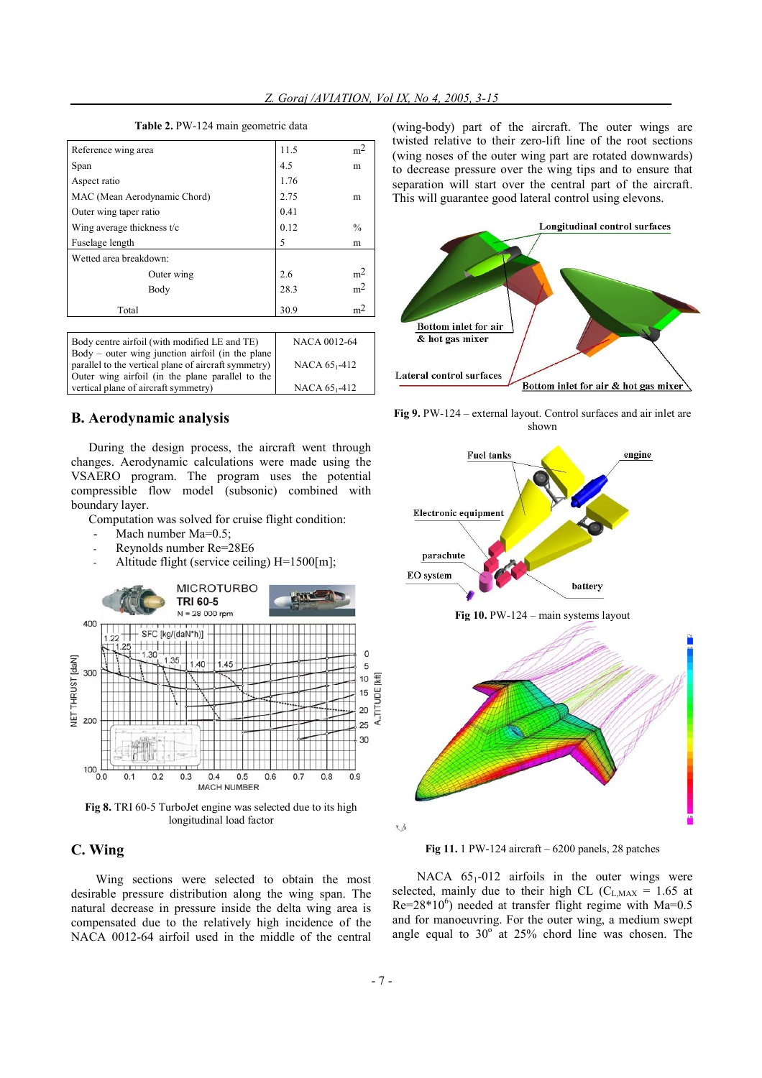| Reference wing area          | 11.5 | m <sup>2</sup> |
|------------------------------|------|----------------|
| Span                         | 4.5  | m              |
| Aspect ratio                 | 1.76 |                |
| MAC (Mean Aerodynamic Chord) | 2.75 | m              |
| Outer wing taper ratio       | 0.41 |                |
| Wing average thickness t/c   | 0.12 | $\frac{0}{0}$  |
| Fuselage length              | 5    | m              |
| Wetted area breakdown:       |      |                |
| Outer wing                   | 2.6  | m <sup>2</sup> |
| Body                         | 28.3 | m <sup>2</sup> |
| Total                        | 30.9 | m <sup>2</sup> |

**Table 2.** PW-124 main geometric data

| Body centre airfoil (with modified LE and TE)                                                               | NACA 0012-64              |
|-------------------------------------------------------------------------------------------------------------|---------------------------|
| $Body - outer wing junction airfoil (in the plane)$<br>parallel to the vertical plane of aircraft symmetry) | NACA 65 <sub>1</sub> -412 |
| Outer wing airfoil (in the plane parallel to the<br>vertical plane of aircraft symmetry)                    | NACA 65 <sub>1</sub> -412 |

**B. Aerodynamic analysis** 

During the design process, the aircraft went through changes. Aerodynamic calculations were made using the VSAERO program. The program uses the potential compressible flow model (subsonic) combined with boundary layer.

Computation was solved for cruise flight condition:

- Mach number Ma=0.5;
- Reynolds number Re=28E6
- Altitude flight (service ceiling) H=1500[m];



**Fig 8.** TRI 60-5 TurboJet engine was selected due to its high longitudinal load factor

# **C. Wing**

Wing sections were selected to obtain the most desirable pressure distribution along the wing span. The natural decrease in pressure inside the delta wing area is compensated due to the relatively high incidence of the NACA 0012-64 airfoil used in the middle of the central

(wing-body) part of the aircraft. The outer wings are twisted relative to their zero-lift line of the root sections (wing noses of the outer wing part are rotated downwards) to decrease pressure over the wing tips and to ensure that separation will start over the central part of the aircraft. This will guarantee good lateral control using elevons.



**Fig 9.** PW-124 – external layout. Control surfaces and air inlet are shown



**Fig 11.** 1 PW-124 aircraft – 6200 panels, 28 patches

NACA  $65<sub>1</sub>$ -012 airfoils in the outer wings were selected, mainly due to their high CL ( $C_{L,MAX} = 1.65$  at  $Re=28*10^6$ ) needed at transfer flight regime with Ma=0.5 and for manoeuvring. For the outer wing, a medium swept angle equal to  $30^{\circ}$  at  $25\%$  chord line was chosen. The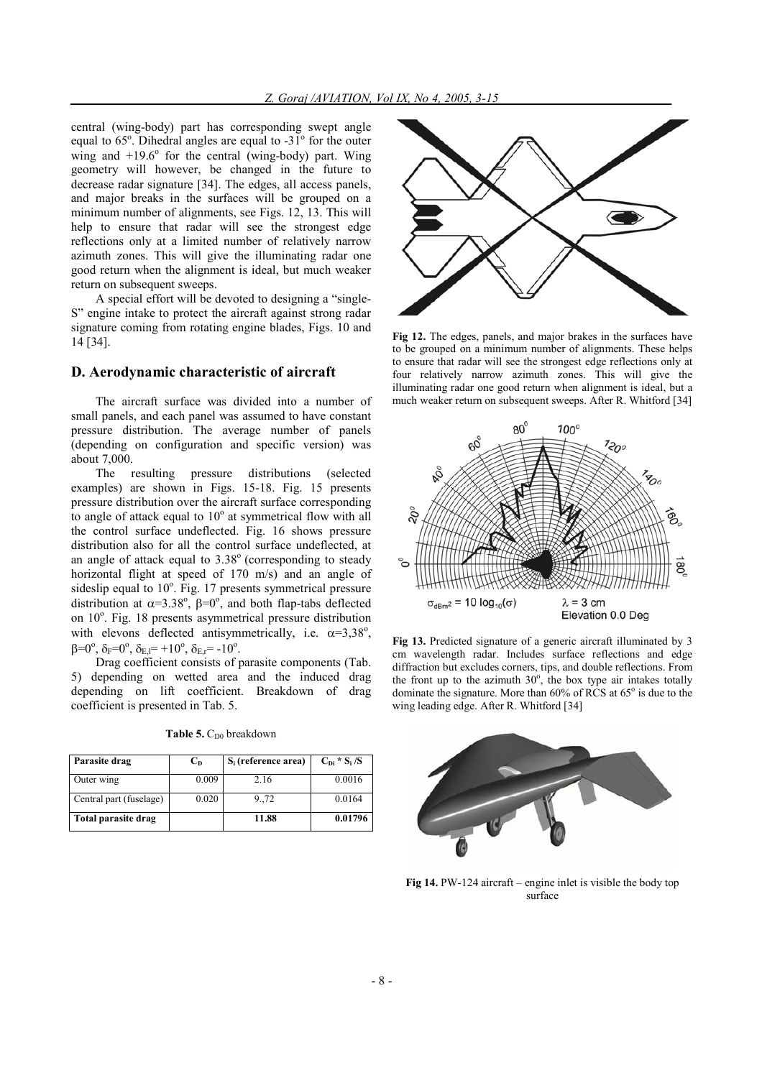central (wing-body) part has corresponding swept angle equal to  $65^\circ$ . Dihedral angles are equal to  $-31^\circ$  for the outer wing and  $+19.6^\circ$  for the central (wing-body) part. Wing geometry will however, be changed in the future to decrease radar signature [34]. The edges, all access panels, and major breaks in the surfaces will be grouped on a minimum number of alignments, see Figs. 12, 13. This will help to ensure that radar will see the strongest edge reflections only at a limited number of relatively narrow azimuth zones. This will give the illuminating radar one good return when the alignment is ideal, but much weaker return on subsequent sweeps.

A special effort will be devoted to designing a "single-S" engine intake to protect the aircraft against strong radar signature coming from rotating engine blades, Figs. 10 and 14 [34].

## **D. Aerodynamic characteristic of aircraft**

The aircraft surface was divided into a number of small panels, and each panel was assumed to have constant pressure distribution. The average number of panels (depending on configuration and specific version) was about 7,000.

The resulting pressure distributions (selected examples) are shown in Figs. 15-18. Fig. 15 presents pressure distribution over the aircraft surface corresponding to angle of attack equal to  $10^{\circ}$  at symmetrical flow with all the control surface undeflected. Fig. 16 shows pressure distribution also for all the control surface undeflected, at an angle of attack equal to  $3.38^\circ$  (corresponding to steady horizontal flight at speed of 170 m/s) and an angle of sideslip equal to  $10^{\circ}$ . Fig. 17 presents symmetrical pressure distribution at  $\alpha = 3.38^\circ$ ,  $\beta = 0^\circ$ , and both flap-tabs deflected on 10<sup>°</sup>. Fig. 18 presents asymmetrical pressure distribution with elevons deflected antisymmetrically, i.e.  $\alpha = 3.38^\circ$ ,  $\beta=0^\circ$ ,  $\delta_F=0^\circ$ ,  $\delta_{E,I}=+10^\circ$ ,  $\delta_{E,r}=-10^\circ$ .

Drag coefficient consists of parasite components (Tab. 5) depending on wetted area and the induced drag depending on lift coefficient. Breakdown of drag coefficient is presented in Tab. 5.

|  | <b>Table 5.</b> $C_{D0}$ breakdown |  |
|--|------------------------------------|--|
|  |                                    |  |

| Parasite drag           | $C_{D}$ | $S_i$ (reference area) | $C_{Di} * S_i / S$ |
|-------------------------|---------|------------------------|--------------------|
| Outer wing              | 0.009   | 2.16                   | 0.0016             |
| Central part (fuselage) | 0.020   | 9.,72                  | 0.0164             |
| Total parasite drag     |         | 11.88                  | 0.01796            |



**Fig 12.** The edges, panels, and major brakes in the surfaces have to be grouped on a minimum number of alignments. These helps to ensure that radar will see the strongest edge reflections only at four relatively narrow azimuth zones. This will give the illuminating radar one good return when alignment is ideal, but a much weaker return on subsequent sweeps. After R. Whitford [34]



**Fig 13.** Predicted signature of a generic aircraft illuminated by 3 cm wavelength radar. Includes surface reflections and edge diffraction but excludes corners, tips, and double reflections. From the front up to the azimuth  $30^\circ$ , the box type air intakes totally dominate the signature. More than  $60\%$  of RCS at  $65^\circ$  is due to the wing leading edge. After R. Whitford [34]



**Fig 14.** PW-124 aircraft – engine inlet is visible the body top surface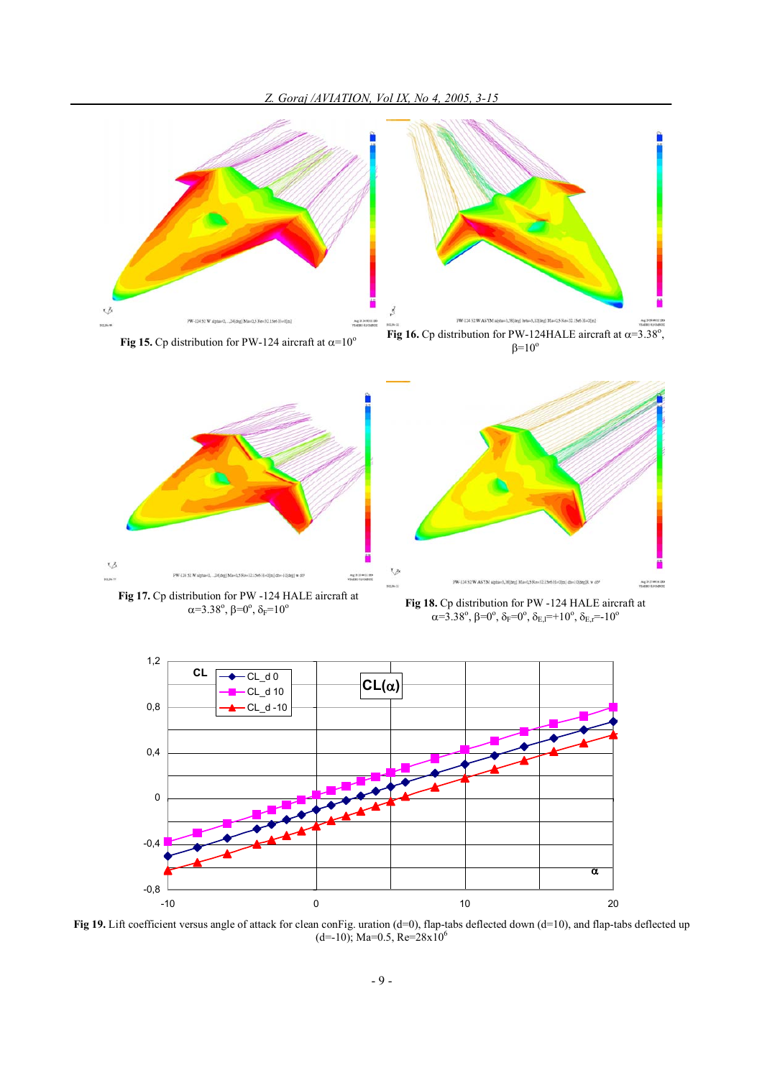



**Fig 16.** Cp distribution for PW-124 aircraft at  $\alpha=10^{\circ}$  **Fig 16.** Cp distribution for PW-124HALE aircraft at  $\alpha=3.38^{\circ}$ ,  $\beta=10^\circ$ 





**Fig 17.** Cp distribution for PW -124 HALE aircraft at  $\alpha = 3.38^\circ, \beta = 0^\circ$ 

Fig 18. Cp distribution for PW -124 HALE aircraft at  $\alpha$ =3.38°,  $\beta$ =0°,  $\delta$ <sub>F</sub>=0°,  $\delta$ <sub>E,I</sub>=+10°,  $\delta$ <sub>E,F</sub>=-10°



Fig 19. Lift coefficient versus angle of attack for clean conFig. uration (d=0), flap-tabs deflected down (d=10), and flap-tabs deflected up  $(d=-10)$ ; Ma=0.5, Re=28x10<sup>6</sup>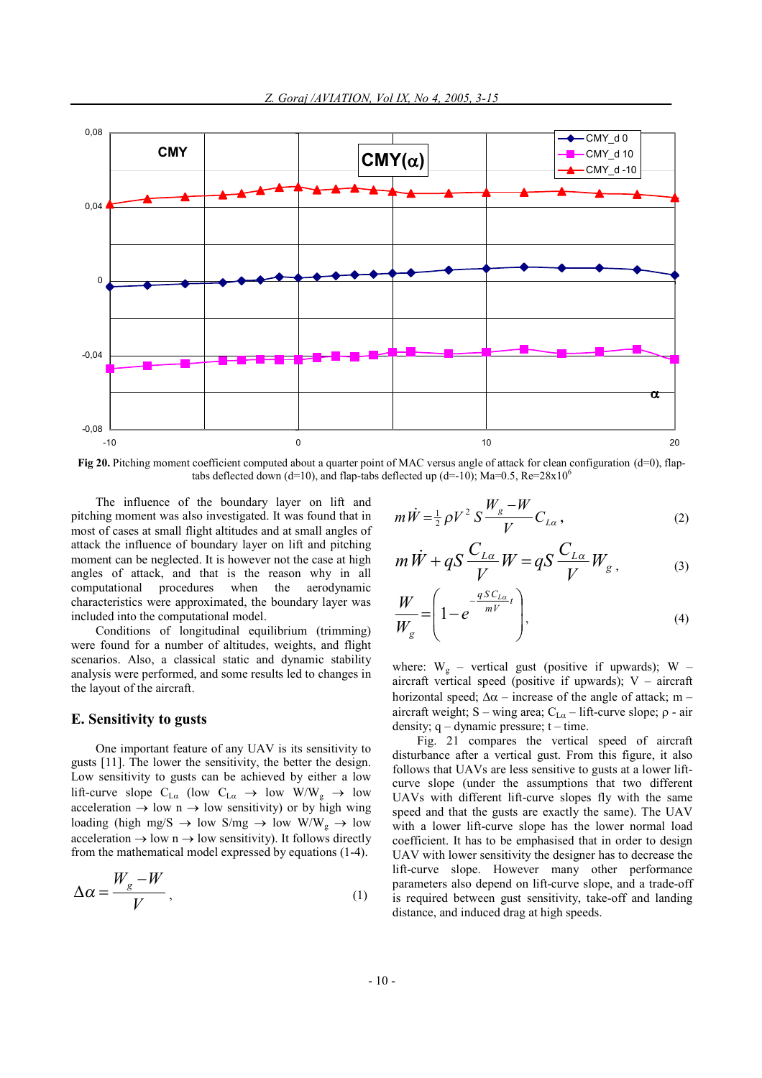

**Fig 20.** Pitching moment coefficient computed about a quarter point of MAC versus angle of attack for clean configuration (d=0), flaptabs deflected down (d=10), and flap-tabs deflected up (d=-10); Ma=0.5, Re=28x10<sup>6</sup>

The influence of the boundary layer on lift and pitching moment was also investigated. It was found that in most of cases at small flight altitudes and at small angles of attack the influence of boundary layer on lift and pitching moment can be neglected. It is however not the case at high angles of attack, and that is the reason why in all computational procedures when the aerodynamic characteristics were approximated, the boundary layer was included into the computational model.

Conditions of longitudinal equilibrium (trimming) were found for a number of altitudes, weights, and flight scenarios. Also, a classical static and dynamic stability analysis were performed, and some results led to changes in the layout of the aircraft.

## **E. Sensitivity to gusts**

One important feature of any UAV is its sensitivity to gusts [11]. The lower the sensitivity, the better the design. Low sensitivity to gusts can be achieved by either a low lift-curve slope  $C_{La}$  (low  $C_{La} \rightarrow low W/W_g \rightarrow low$ acceleration  $\rightarrow$  low n  $\rightarrow$  low sensitivity) or by high wing loading (high mg/S  $\rightarrow$  low S/mg  $\rightarrow$  low W/W<sub>g</sub>  $\rightarrow$  low acceleration  $\rightarrow$  low n  $\rightarrow$  low sensitivity). It follows directly from the mathematical model expressed by equations (1-4).

$$
\Delta \alpha = \frac{W_g - W}{V}, \qquad (1)
$$

$$
m\dot{W} = \frac{1}{2}\rho V^2 S \frac{W_g - W}{V} C_{L\alpha},
$$
 (2)

$$
m\dot{W} + qS\frac{C_{L\alpha}}{V}W = qS\frac{C_{L\alpha}}{V}W_g, \qquad (3)
$$

$$
\frac{W}{W_g} = \left(1 - e^{-\frac{qSC_{La}}{mV}}\right),\tag{4}
$$

where:  $W_g$  – vertical gust (positive if upwards); W – aircraft vertical speed (positive if upwards);  $V -$  aircraft horizontal speed;  $\Delta \alpha$  – increase of the angle of attack; m – aircraft weight; S – wing area;  $C_{L\alpha}$  – lift-curve slope;  $\rho$  - air density;  $q -$  dynamic pressure;  $t -$  time.

Fig. 21 compares the vertical speed of aircraft disturbance after a vertical gust. From this figure, it also follows that UAVs are less sensitive to gusts at a lower liftcurve slope (under the assumptions that two different UAVs with different lift-curve slopes fly with the same speed and that the gusts are exactly the same). The UAV with a lower lift-curve slope has the lower normal load coefficient. It has to be emphasised that in order to design UAV with lower sensitivity the designer has to decrease the lift-curve slope. However many other performance parameters also depend on lift-curve slope, and a trade-off is required between gust sensitivity, take-off and landing distance, and induced drag at high speeds.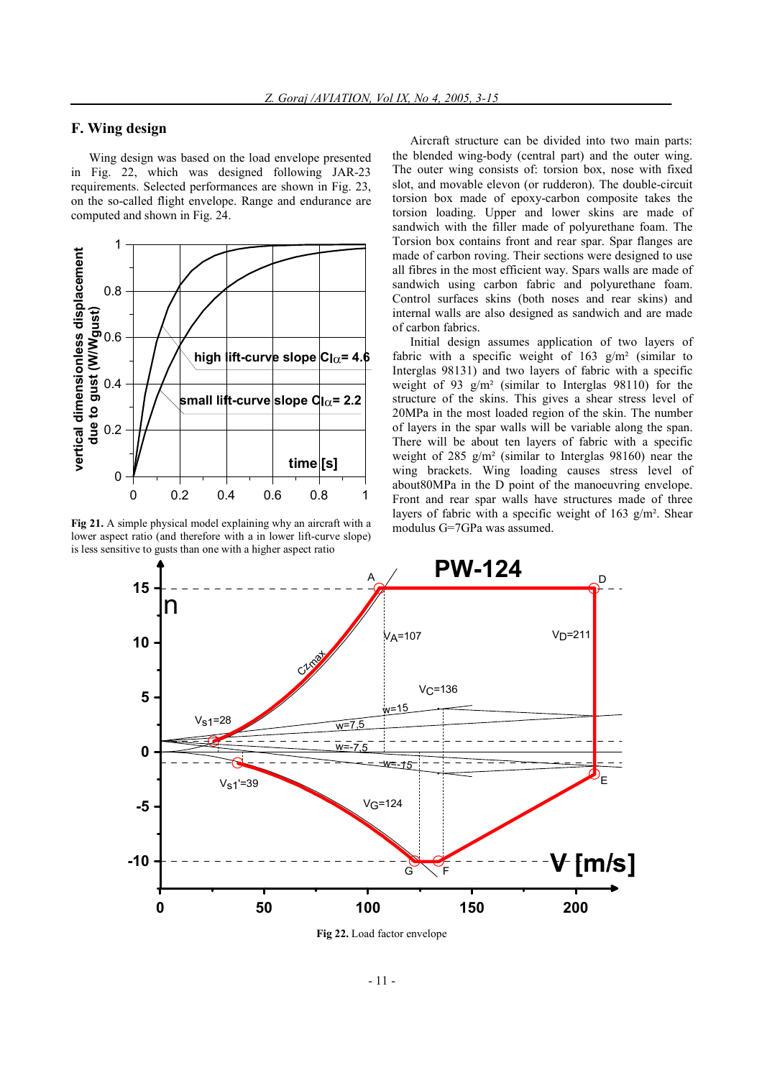# **F. Wing design**

Wing design was based on the load envelope presented in Fig. 22, which was designed following JAR-23 requirements. Selected performances are shown in Fig. 23, on the so-called flight envelope. Range and endurance are computed and shown in Fig. 24.



**Fig 21.** A simple physical model explaining why an aircraft with a lower aspect ratio (and therefore with a in lower lift-curve slope) is less sensitive to gusts than one with a higher aspect ratio

Aircraft structure can be divided into two main parts: the blended wing-body (central part) and the outer wing. The outer wing consists of: torsion box, nose with fixed slot, and movable elevon (or rudderon). The double-circuit torsion box made of epoxy-carbon composite takes the torsion loading. Upper and lower skins are made of sandwich with the filler made of polyurethane foam. The Torsion box contains front and rear spar. Spar flanges are made of carbon roving. Their sections were designed to use all fibres in the most efficient way. Spars walls are made of sandwich using carbon fabric and polyurethane foam. Control surfaces skins (both noses and rear skins) and internal walls are also designed as sandwich and are made of carbon fabrics.

Initial design assumes application of two layers of fabric with a specific weight of  $163 \text{ g/m}^2$  (similar to Interglas 98131) and two layers of fabric with a specific weight of 93 g/m² (similar to Interglas 98110) for the structure of the skins. This gives a shear stress level of 20MPa in the most loaded region of the skin. The number of layers in the spar walls will be variable along the span. There will be about ten layers of fabric with a specific weight of 285  $g/m^2$  (similar to Interglas 98160) near the wing brackets. Wing loading causes stress level of about80MPa in the D point of the manoeuvring envelope. Front and rear spar walls have structures made of three layers of fabric with a specific weight of 163  $g/m<sup>2</sup>$ . Shear modulus G=7GPa was assumed.



**Fig 22.** Load factor envelope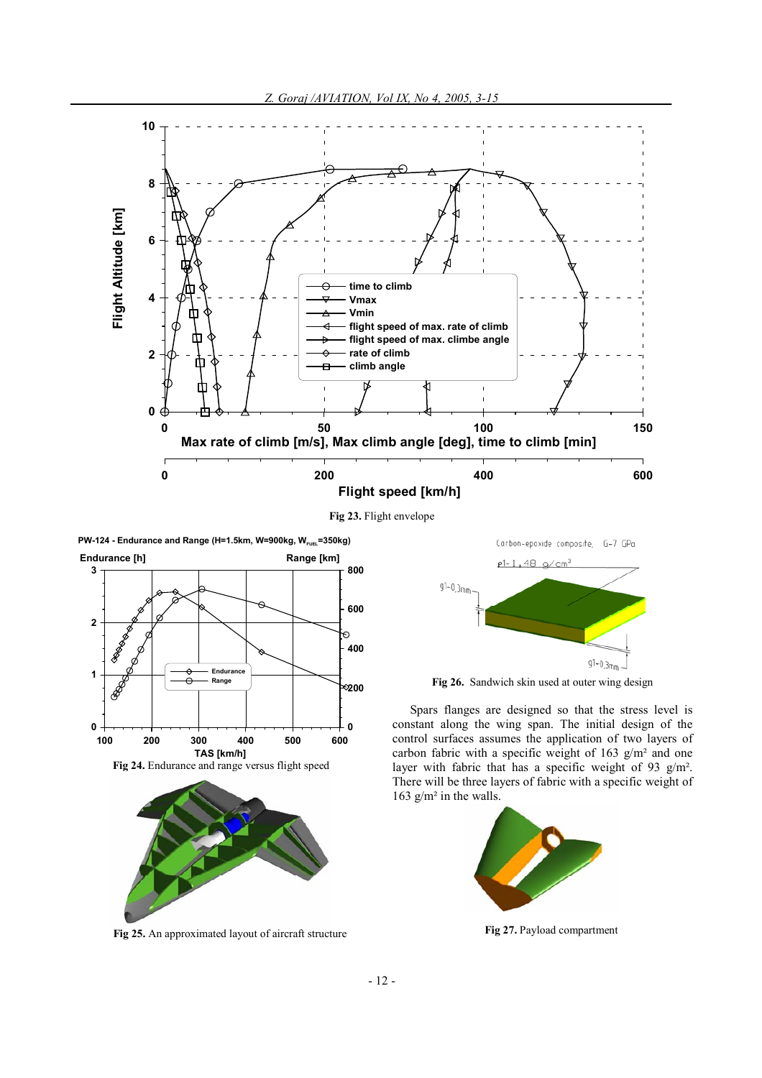

**Fig 23.** Flight envelope

**PW-124** - Endurance and Range (H=1.5km, W=900kg,  $W_{\text{FUE}}$ =350kg)





**Fig 25.** An approximated layout of aircraft structure



**Fig 26.** Sandwich skin used at outer wing design

Spars flanges are designed so that the stress level is constant along the wing span. The initial design of the control surfaces assumes the application of two layers of carbon fabric with a specific weight of 163  $g/m^2$  and one layer with fabric that has a specific weight of 93 g/m². There will be three layers of fabric with a specific weight of 163 g/m² in the walls.



**Fig 27.** Payload compartment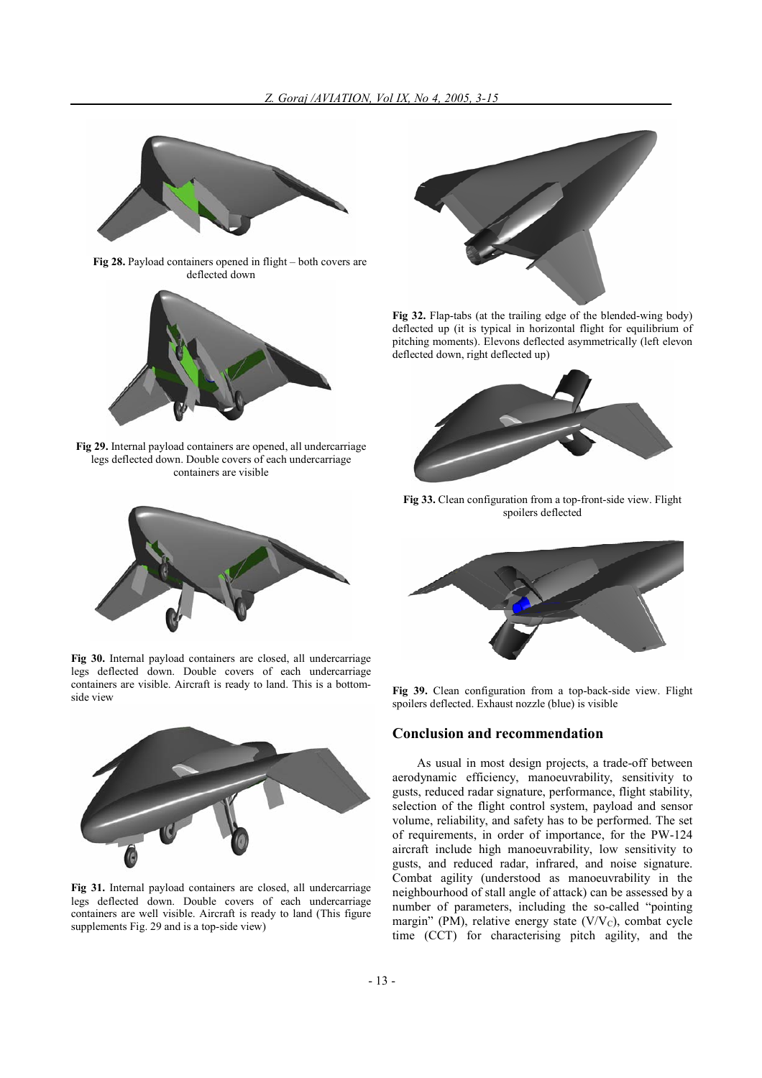

**Fig 28.** Payload containers opened in flight – both covers are deflected down



**Fig 29.** Internal payload containers are opened, all undercarriage legs deflected down. Double covers of each undercarriage containers are visible



**Fig 30.** Internal payload containers are closed, all undercarriage legs deflected down. Double covers of each undercarriage containers are visible. Aircraft is ready to land. This is a bottomside view



**Fig 31.** Internal payload containers are closed, all undercarriage legs deflected down. Double covers of each undercarriage containers are well visible. Aircraft is ready to land (This figure supplements Fig. 29 and is a top-side view)



**Fig 32.** Flap-tabs (at the trailing edge of the blended-wing body) deflected up (it is typical in horizontal flight for equilibrium of pitching moments). Elevons deflected asymmetrically (left elevon deflected down, right deflected up)



**Fig 33.** Clean configuration from a top-front-side view. Flight spoilers deflected



**Fig 39.** Clean configuration from a top-back-side view. Flight spoilers deflected. Exhaust nozzle (blue) is visible

### **Conclusion and recommendation**

As usual in most design projects, a trade-off between aerodynamic efficiency, manoeuvrability, sensitivity to gusts, reduced radar signature, performance, flight stability, selection of the flight control system, payload and sensor volume, reliability, and safety has to be performed. The set of requirements, in order of importance, for the PW-124 aircraft include high manoeuvrability, low sensitivity to gusts, and reduced radar, infrared, and noise signature. Combat agility (understood as manoeuvrability in the neighbourhood of stall angle of attack) can be assessed by a number of parameters, including the so-called "pointing margin" (PM), relative energy state (V/V<sub>C</sub>), combat cycle time (CCT) for characterising pitch agility, and the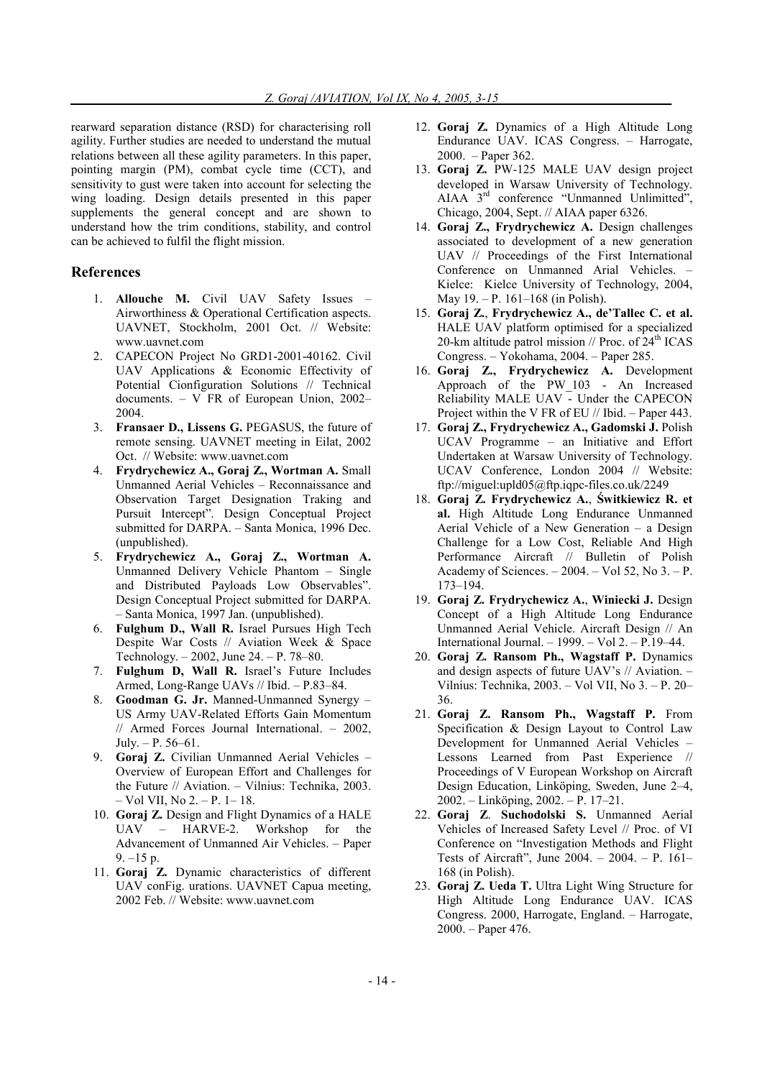rearward separation distance (RSD) for characterising roll agility. Further studies are needed to understand the mutual relations between all these agility parameters. In this paper, pointing margin (PM), combat cycle time (CCT), and sensitivity to gust were taken into account for selecting the wing loading. Design details presented in this paper supplements the general concept and are shown to understand how the trim conditions, stability, and control can be achieved to fulfil the flight mission.

# **References**

- 1. **Allouche M.** Civil UAV Safety Issues Airworthiness & Operational Certification aspects. UAVNET, Stockholm, 2001 Oct. // Website: www.uavnet.com
- 2. CAPECON Project No GRD1-2001-40162. Civil UAV Applications & Economic Effectivity of Potential Cionfiguration Solutions // Technical documents. – V FR of European Union, 2002– 2004.
- 3. **Fransaer D., Lissens G.** PEGASUS, the future of remote sensing. UAVNET meeting in Eilat, 2002 Oct. // Website: www.uavnet.com
- 4. **Frydrychewicz A., Goraj Z., Wortman A.** Small Unmanned Aerial Vehicles – Reconnaissance and Observation Target Designation Traking and Pursuit Intercept". Design Conceptual Project submitted for DARPA. – Santa Monica, 1996 Dec. (unpublished).
- 5. **Frydrychewicz A., Goraj Z., Wortman A.** Unmanned Delivery Vehicle Phantom – Single and Distributed Payloads Low Observables". Design Conceptual Project submitted for DARPA. – Santa Monica, 1997 Jan. (unpublished).
- 6. **Fulghum D., Wall R.** Israel Pursues High Tech Despite War Costs // Aviation Week & Space Technology. – 2002, June 24. – P. 78–80.
- 7. **Fulghum D, Wall R.** Israel's Future Includes Armed, Long-Range UAVs // Ibid. – P.83–84.
- 8. **Goodman G. Jr.** Manned-Unmanned Synergy US Army UAV-Related Efforts Gain Momentum // Armed Forces Journal International. – 2002, July. – P. 56–61.
- 9. **Goraj Z.** Civilian Unmanned Aerial Vehicles Overview of European Effort and Challenges for the Future // Aviation. – Vilnius: Technika, 2003. – Vol VII, No 2. – P. 1– 18.
- 10. **Goraj Z.** Design and Flight Dynamics of a HALE UAV – HARVE-2. Workshop for the Advancement of Unmanned Air Vehicles. – Paper 9. –15 p.
- 11. **Goraj Z.** Dynamic characteristics of different UAV conFig. urations. UAVNET Capua meeting, 2002 Feb. // Website: www.uavnet.com
- 12. **Goraj Z.** Dynamics of a High Altitude Long Endurance UAV. ICAS Congress. – Harrogate, 2000. – Paper 362.
- 13. **Goraj Z.** PW-125 MALE UAV design project developed in Warsaw University of Technology. AIAA 3rd conference "Unmanned Unlimitted", Chicago, 2004, Sept. // AIAA paper 6326.
- 14. **Goraj Z., Frydrychewicz A.** Design challenges associated to development of a new generation UAV // Proceedings of the First International Conference on Unmanned Arial Vehicles. – Kielce: Kielce University of Technology, 2004, May 19. – P. 161–168 (in Polish).
- 15. **Goraj Z.**, **Frydrychewicz A., de'Tallec C. et al.** HALE UAV platform optimised for a specialized 20-km altitude patrol mission  $//$  Proc. of  $24<sup>th</sup> ICAS$ Congress. – Yokohama, 2004. – Paper 285.
- 16. **Goraj Z., Frydrychewicz A.** Development Approach of the PW\_103 - An Increased Reliability MALE UAV - Under the CAPECON Project within the V FR of EU // Ibid. – Paper 443.
- 17. **Goraj Z., Frydrychewicz A., Gadomski J.** Polish UCAV Programme – an Initiative and Effort Undertaken at Warsaw University of Technology. UCAV Conference, London 2004 // Website: ftp://miguel:upld05@ftp.iqpc-files.co.uk/2249
- 18. **Goraj Z. Frydrychewicz A.**, **Świtkiewicz R. et al.** High Altitude Long Endurance Unmanned Aerial Vehicle of a New Generation – a Design Challenge for a Low Cost, Reliable And High Performance Aircraft // Bulletin of Polish Academy of Sciences.  $-2004$ .  $-$  Vol 52, No 3.  $-$  P. 173–194.
- 19. **Goraj Z. Frydrychewicz A.**, **Winiecki J.** Design Concept of a High Altitude Long Endurance Unmanned Aerial Vehicle. Aircraft Design // An International Journal. – 1999. – Vol 2. – P.19–44.
- 20. **Goraj Z. Ransom Ph., Wagstaff P.** Dynamics and design aspects of future UAV's // Aviation. – Vilnius: Technika, 2003. – Vol VII, No 3. – P. 20– 36.
- 21. **Goraj Z. Ransom Ph., Wagstaff P.** From Specification & Design Layout to Control Law Development for Unmanned Aerial Vehicles – Lessons Learned from Past Experience // Proceedings of V European Workshop on Aircraft Design Education, Linköping, Sweden, June 2–4, 2002. – Linköping, 2002. – P. 17–21.
- 22. **Goraj Z**. **Suchodolski S.** Unmanned Aerial Vehicles of Increased Safety Level // Proc. of VI Conference on "Investigation Methods and Flight Tests of Aircraft", June 2004. – 2004. – P. 161– 168 (in Polish).
- 23. **Goraj Z. Ueda T.** Ultra Light Wing Structure for High Altitude Long Endurance UAV. ICAS Congress. 2000, Harrogate, England. – Harrogate, 2000. – Paper 476.